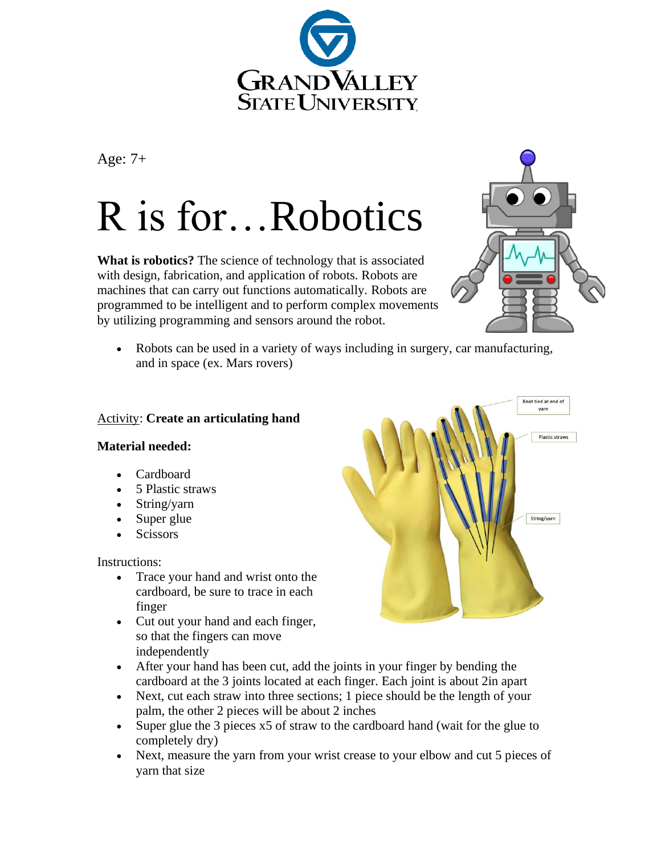

Age: 7+

## R is for…Robotics

**What is robotics?** The science of technology that is associated with design, fabrication, and application of robots. Robots are machines that can carry out functions automatically. Robots are programmed to be intelligent and to perform complex movements by utilizing programming and sensors around the robot.



• Robots can be used in a variety of ways including in surgery, car manufacturing, and in space (ex. Mars rovers)

## Activity: **Create an articulating hand**

## **Material needed:**

- Cardboard
- 5 Plastic straws
- String/yarn
- Super glue
- Scissors

Instructions:

- Trace your hand and wrist onto the cardboard, be sure to trace in each finger
- Cut out your hand and each finger, so that the fingers can move independently
- After your hand has been cut, add the joints in your finger by bending the cardboard at the 3 joints located at each finger. Each joint is about 2in apart
- Next, cut each straw into three sections; 1 piece should be the length of your palm, the other 2 pieces will be about 2 inches
- Super glue the 3 pieces x5 of straw to the cardboard hand (wait for the glue to completely dry)
- Next, measure the yarn from your wrist crease to your elbow and cut 5 pieces of yarn that size

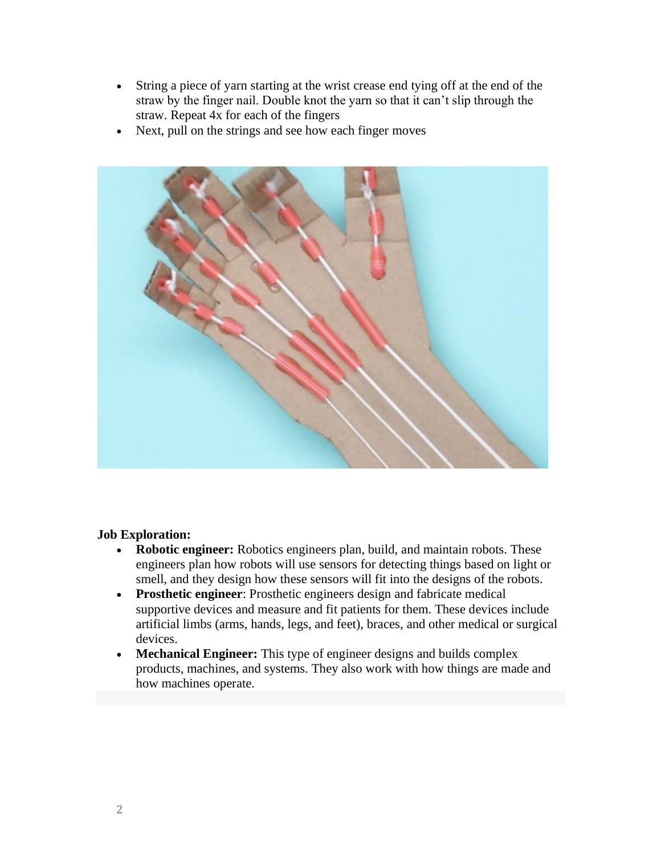- String a piece of yarn starting at the wrist crease end tying off at the end of the straw by the finger nail. Double knot the yarn so that it can't slip through the straw. Repeat 4x for each of the fingers
- Next, pull on the strings and see how each finger moves



## **Job Exploration:**

- **Robotic engineer:** Robotics engineers plan, build, and maintain robots. These engineers plan how robots will use sensors for detecting things based on light or smell, and they design how these sensors will fit into the designs of the robots.
- **Prosthetic engineer**: Prosthetic engineers design and fabricate medical supportive devices and measure and fit patients for them. These devices include artificial limbs (arms, hands, legs, and feet), braces, and other medical or surgical devices.
- **Mechanical Engineer:** This type of engineer designs and builds complex products, machines, and systems. They also work with how things are made and how machines operate.